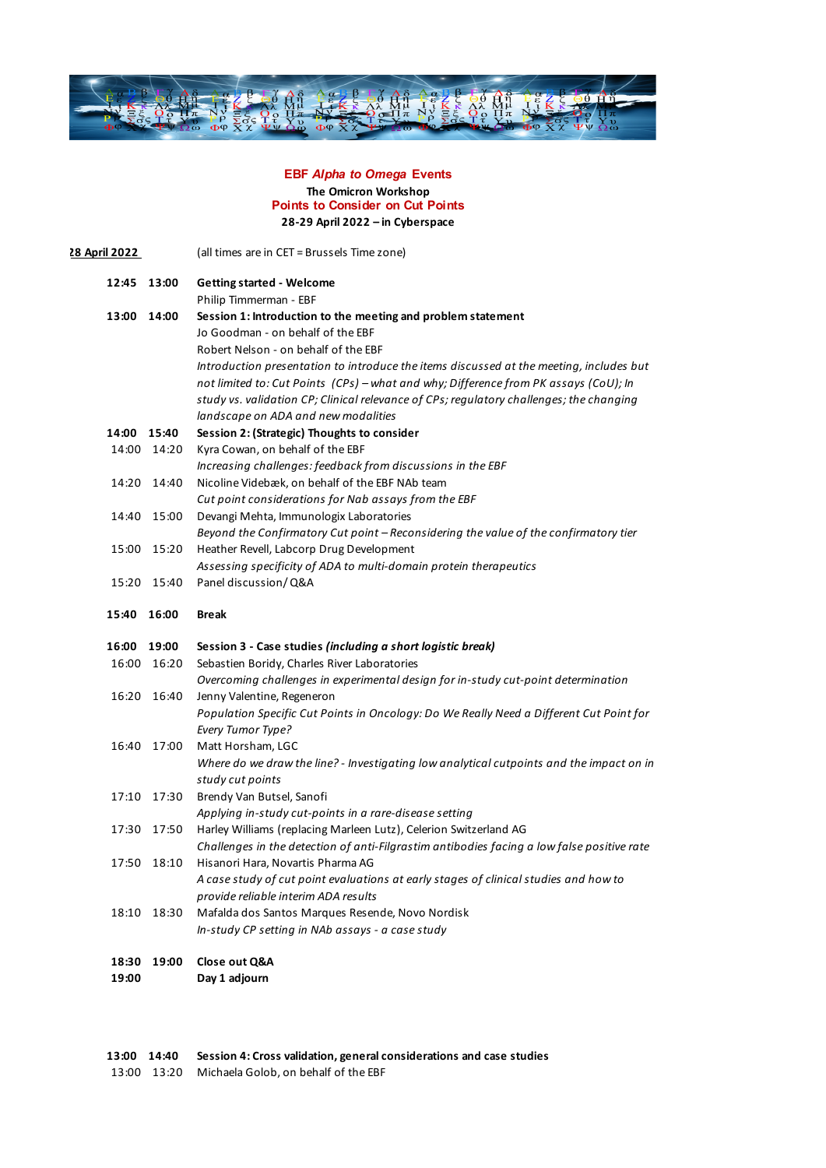

## **EBF** *Alpha to Omega* **Events The Omicron Workshop Points to Consider on Cut Points 28-29 April 2022 – in Cyberspace**

| 28 April 2022 |       | (all times are in CET = Brussels Time zone)                                                |
|---------------|-------|--------------------------------------------------------------------------------------------|
| 12:45 13:00   |       | <b>Getting started - Welcome</b><br>Philip Timmerman - EBF                                 |
| 13:00 14:00   |       | Session 1: Introduction to the meeting and problem statement                               |
|               |       | Jo Goodman - on behalf of the EBF                                                          |
|               |       | Robert Nelson - on behalf of the EBF                                                       |
|               |       | Introduction presentation to introduce the items discussed at the meeting, includes but    |
|               |       | not limited to: Cut Points (CPs) - what and why; Difference from PK assays (CoU); In       |
|               |       | study vs. validation CP; Clinical relevance of CPs; regulatory challenges; the changing    |
|               |       | landscape on ADA and new modalities                                                        |
| 14:00         | 15:40 | Session 2: (Strategic) Thoughts to consider                                                |
| 14:00         | 14:20 | Kyra Cowan, on behalf of the EBF                                                           |
|               |       | Increasing challenges: feedback from discussions in the EBF                                |
| 14:20         | 14:40 | Nicoline Videbæk, on behalf of the EBF NAb team                                            |
|               |       | Cut point considerations for Nab assays from the EBF                                       |
| 14:40         | 15:00 | Devangi Mehta, Immunologix Laboratories                                                    |
|               |       | Beyond the Confirmatory Cut point - Reconsidering the value of the confirmatory tier       |
| 15:00         | 15:20 | Heather Revell, Labcorp Drug Development                                                   |
|               |       | Assessing specificity of ADA to multi-domain protein therapeutics                          |
| 15:20         | 15:40 | Panel discussion/Q&A                                                                       |
| 15:40         | 16:00 | <b>Break</b>                                                                               |
| 16:00         | 19:00 | Session 3 - Case studies (including a short logistic break)                                |
| 16:00         | 16:20 | Sebastien Boridy, Charles River Laboratories                                               |
|               |       | Overcoming challenges in experimental design for in-study cut-point determination          |
| 16:20         | 16:40 | Jenny Valentine, Regeneron                                                                 |
|               |       | Population Specific Cut Points in Oncology: Do We Really Need a Different Cut Point for    |
|               |       | <b>Every Tumor Type?</b>                                                                   |
| 16:40         | 17:00 | Matt Horsham, LGC                                                                          |
|               |       | Where do we draw the line? - Investigating low analytical cutpoints and the impact on in   |
| 17:10         | 17:30 | study cut points<br>Brendy Van Butsel, Sanofi                                              |
|               |       | Applying in-study cut-points in a rare-disease setting                                     |
| 17:30         | 17:50 | Harley Williams (replacing Marleen Lutz), Celerion Switzerland AG                          |
|               |       | Challenges in the detection of anti-Filgrastim antibodies facing a low false positive rate |
|               |       | 17:50 18:10 Hisanori Hara, Novartis Pharma AG                                              |
|               |       | A case study of cut point evaluations at early stages of clinical studies and how to       |
|               |       | provide reliable interim ADA results                                                       |
| 18:10         | 18:30 | Mafalda dos Santos Marques Resende, Novo Nordisk                                           |
|               |       | In-study CP setting in NAb assays - a case study                                           |
| 18:30         | 19:00 | Close out Q&A                                                                              |
| 19:00         |       | Day 1 adjourn                                                                              |
|               |       |                                                                                            |